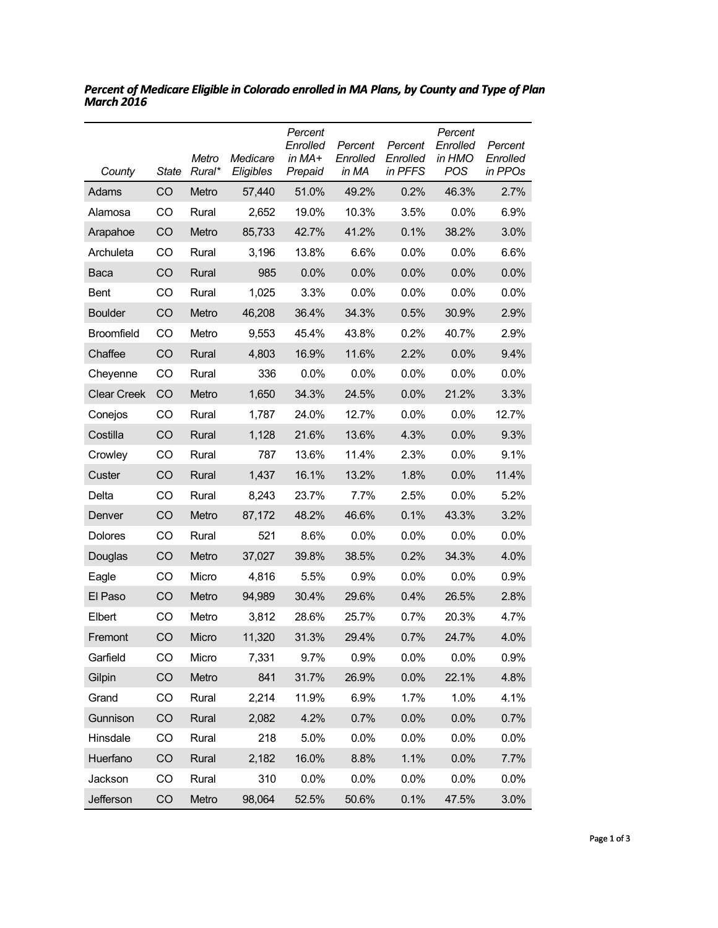| County             | <b>State</b> | Metro<br>Rural* | Medicare<br>Eligibles | Percent<br>Enrolled<br>in MA+<br>Prepaid | Percent<br>Enrolled<br>in MA | Percent<br>Enrolled<br>in PFFS | Percent<br>Enrolled<br>in HMO<br>POS | Percent<br>Enrolled<br>in PPOs |
|--------------------|--------------|-----------------|-----------------------|------------------------------------------|------------------------------|--------------------------------|--------------------------------------|--------------------------------|
| Adams              | CO           | Metro           | 57,440                | 51.0%                                    | 49.2%                        | 0.2%                           | 46.3%                                | 2.7%                           |
| Alamosa            | CO           | Rural           | 2,652                 | 19.0%                                    | 10.3%                        | 3.5%                           | 0.0%                                 | 6.9%                           |
| Arapahoe           | CO           | Metro           | 85,733                | 42.7%                                    | 41.2%                        | 0.1%                           | 38.2%                                | 3.0%                           |
| Archuleta          | CO           | Rural           | 3,196                 | 13.8%                                    | 6.6%                         | 0.0%                           | 0.0%                                 | 6.6%                           |
| Baca               | CO           | Rural           | 985                   | 0.0%                                     | 0.0%                         | 0.0%                           | 0.0%                                 | 0.0%                           |
| <b>Bent</b>        | CO           | Rural           | 1,025                 | 3.3%                                     | $0.0\%$                      | 0.0%                           | 0.0%                                 | $0.0\%$                        |
| <b>Boulder</b>     | CO           | Metro           | 46,208                | 36.4%                                    | 34.3%                        | 0.5%                           | 30.9%                                | 2.9%                           |
| <b>Broomfield</b>  | CO           | Metro           | 9,553                 | 45.4%                                    | 43.8%                        | 0.2%                           | 40.7%                                | 2.9%                           |
| Chaffee            | CO           | Rural           | 4,803                 | 16.9%                                    | 11.6%                        | 2.2%                           | 0.0%                                 | 9.4%                           |
| Cheyenne           | CO           | Rural           | 336                   | $0.0\%$                                  | $0.0\%$                      | 0.0%                           | 0.0%                                 | $0.0\%$                        |
| <b>Clear Creek</b> | CO           | Metro           | 1,650                 | 34.3%                                    | 24.5%                        | 0.0%                           | 21.2%                                | 3.3%                           |
| Conejos            | CO           | Rural           | 1,787                 | 24.0%                                    | 12.7%                        | 0.0%                           | 0.0%                                 | 12.7%                          |
| Costilla           | CO           | Rural           | 1,128                 | 21.6%                                    | 13.6%                        | 4.3%                           | 0.0%                                 | 9.3%                           |
| Crowley            | CO           | Rural           | 787                   | 13.6%                                    | 11.4%                        | 2.3%                           | 0.0%                                 | 9.1%                           |
| Custer             | CO           | Rural           | 1,437                 | 16.1%                                    | 13.2%                        | 1.8%                           | 0.0%                                 | 11.4%                          |
| Delta              | CO           | Rural           | 8,243                 | 23.7%                                    | 7.7%                         | 2.5%                           | 0.0%                                 | 5.2%                           |
| Denver             | CO           | Metro           | 87,172                | 48.2%                                    | 46.6%                        | 0.1%                           | 43.3%                                | 3.2%                           |
| <b>Dolores</b>     | CO           | Rural           | 521                   | 8.6%                                     | $0.0\%$                      | 0.0%                           | 0.0%                                 | 0.0%                           |
| Douglas            | CO           | Metro           | 37,027                | 39.8%                                    | 38.5%                        | 0.2%                           | 34.3%                                | 4.0%                           |
| Eagle              | CO           | Micro           | 4,816                 | 5.5%                                     | 0.9%                         | 0.0%                           | 0.0%                                 | 0.9%                           |
| El Paso            | CO           | Metro           | 94,989                | 30.4%                                    | 29.6%                        | 0.4%                           | 26.5%                                | 2.8%                           |
| Elbert             | CO           | Metro           | 3,812                 | 28.6%                                    | 25.7%                        | 0.7%                           | 20.3%                                | 4.7%                           |
| Fremont            | CO           | Micro           | 11,320                | 31.3%                                    | 29.4%                        | 0.7%                           | 24.7%                                | 4.0%                           |
| Garfield           | CO           | Micro           | 7,331                 | 9.7%                                     | 0.9%                         | 0.0%                           | 0.0%                                 | 0.9%                           |
| Gilpin             | CO           | Metro           | 841                   | 31.7%                                    | 26.9%                        | 0.0%                           | 22.1%                                | 4.8%                           |
| Grand              | CO           | Rural           | 2,214                 | 11.9%                                    | 6.9%                         | 1.7%                           | 1.0%                                 | 4.1%                           |
| Gunnison           | CO           | Rural           | 2,082                 | 4.2%                                     | 0.7%                         | 0.0%                           | 0.0%                                 | 0.7%                           |
| Hinsdale           | CO           | Rural           | 218                   | 5.0%                                     | 0.0%                         | 0.0%                           | 0.0%                                 | 0.0%                           |
| Huerfano           | CO           | Rural           | 2,182                 | 16.0%                                    | 8.8%                         | 1.1%                           | 0.0%                                 | 7.7%                           |
| Jackson            | CO           | Rural           | 310                   | 0.0%                                     | 0.0%                         | 0.0%                           | 0.0%                                 | 0.0%                           |
| Jefferson          | CO           | Metro           | 98,064                | 52.5%                                    | 50.6%                        | 0.1%                           | 47.5%                                | 3.0%                           |

*Percent of Medicare Eligible in Colorado enrolled in MA Plans, by County and Type of Plan March 2016*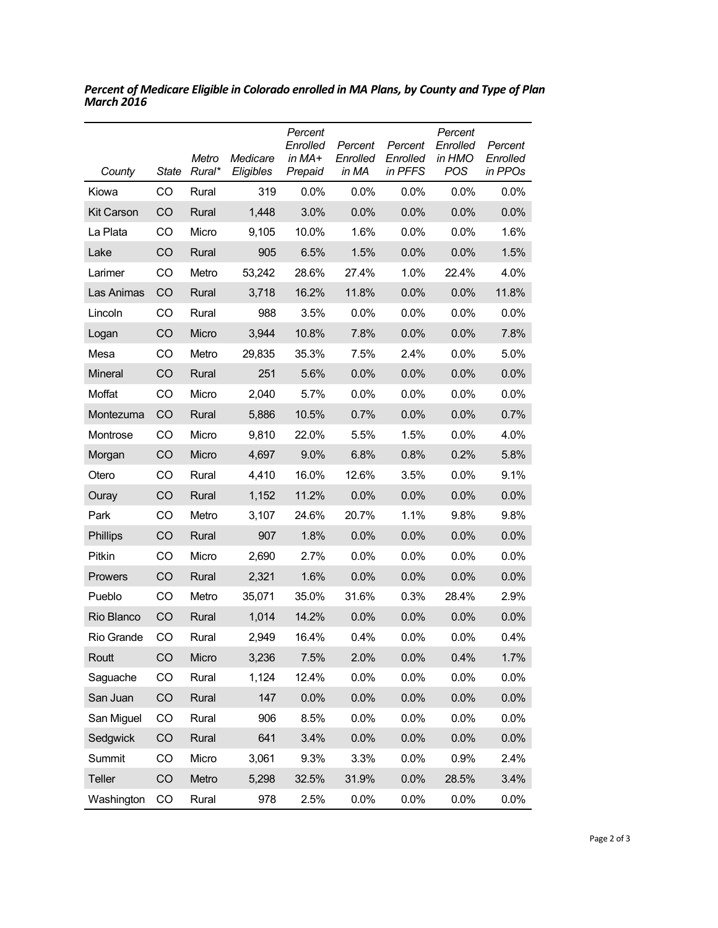| County            | <b>State</b> | Metro<br>Rural* | Medicare<br>Eligibles | Percent<br>Enrolled<br>in MA+<br>Prepaid | Percent<br>Enrolled<br>in MA | Percent<br>Enrolled<br>in PFFS | Percent<br>Enrolled<br>in HMO<br><b>POS</b> | Percent<br>Enrolled<br>in PPOs |
|-------------------|--------------|-----------------|-----------------------|------------------------------------------|------------------------------|--------------------------------|---------------------------------------------|--------------------------------|
| Kiowa             | CO           | Rural           | 319                   | $0.0\%$                                  | $0.0\%$                      | 0.0%                           | 0.0%                                        | $0.0\%$                        |
| <b>Kit Carson</b> | CO           | Rural           | 1,448                 | 3.0%                                     | 0.0%                         | 0.0%                           | 0.0%                                        | 0.0%                           |
| La Plata          | CO           | Micro           | 9,105                 | 10.0%                                    | 1.6%                         | 0.0%                           | 0.0%                                        | 1.6%                           |
| Lake              | CO           | Rural           | 905                   | 6.5%                                     | 1.5%                         | 0.0%                           | 0.0%                                        | 1.5%                           |
| Larimer           | CO           | Metro           | 53,242                | 28.6%                                    | 27.4%                        | 1.0%                           | 22.4%                                       | 4.0%                           |
| Las Animas        | CO           | Rural           | 3,718                 | 16.2%                                    | 11.8%                        | 0.0%                           | 0.0%                                        | 11.8%                          |
| Lincoln           | CO           | Rural           | 988                   | 3.5%                                     | 0.0%                         | 0.0%                           | 0.0%                                        | 0.0%                           |
| Logan             | CO           | Micro           | 3,944                 | 10.8%                                    | 7.8%                         | 0.0%                           | 0.0%                                        | 7.8%                           |
| Mesa              | CO           | Metro           | 29,835                | 35.3%                                    | 7.5%                         | 2.4%                           | 0.0%                                        | 5.0%                           |
| Mineral           | CO           | Rural           | 251                   | 5.6%                                     | 0.0%                         | 0.0%                           | 0.0%                                        | 0.0%                           |
| Moffat            | CO           | Micro           | 2,040                 | 5.7%                                     | $0.0\%$                      | 0.0%                           | 0.0%                                        | 0.0%                           |
| Montezuma         | CO           | Rural           | 5,886                 | 10.5%                                    | 0.7%                         | 0.0%                           | 0.0%                                        | 0.7%                           |
| Montrose          | CO           | Micro           | 9,810                 | 22.0%                                    | 5.5%                         | 1.5%                           | 0.0%                                        | 4.0%                           |
| Morgan            | CO           | Micro           | 4,697                 | 9.0%                                     | 6.8%                         | 0.8%                           | 0.2%                                        | 5.8%                           |
| Otero             | CO           | Rural           | 4,410                 | 16.0%                                    | 12.6%                        | 3.5%                           | 0.0%                                        | 9.1%                           |
| Ouray             | CO           | Rural           | 1,152                 | 11.2%                                    | 0.0%                         | 0.0%                           | 0.0%                                        | 0.0%                           |
| Park              | CO           | Metro           | 3,107                 | 24.6%                                    | 20.7%                        | 1.1%                           | 9.8%                                        | 9.8%                           |
| <b>Phillips</b>   | CO           | Rural           | 907                   | 1.8%                                     | 0.0%                         | 0.0%                           | 0.0%                                        | 0.0%                           |
| Pitkin            | CO           | Micro           | 2,690                 | 2.7%                                     | 0.0%                         | 0.0%                           | 0.0%                                        | 0.0%                           |
| Prowers           | CO           | Rural           | 2,321                 | 1.6%                                     | 0.0%                         | 0.0%                           | 0.0%                                        | 0.0%                           |
| Pueblo            | CO           | Metro           | 35,071                | 35.0%                                    | 31.6%                        | 0.3%                           | 28.4%                                       | 2.9%                           |
| Rio Blanco        | CO           | Rural           | 1,014                 | 14.2%                                    | 0.0%                         | 0.0%                           | 0.0%                                        | 0.0%                           |
| Rio Grande        | CO           | Rural           | 2,949                 | 16.4%                                    | 0.4%                         | 0.0%                           | 0.0%                                        | 0.4%                           |
| Routt             | CO           | Micro           | 3,236                 | 7.5%                                     | 2.0%                         | 0.0%                           | 0.4%                                        | 1.7%                           |
| Saguache          | CO           | Rural           | 1,124                 | 12.4%                                    | 0.0%                         | 0.0%                           | 0.0%                                        | 0.0%                           |
| San Juan          | CO           | Rural           | 147                   | 0.0%                                     | 0.0%                         | 0.0%                           | 0.0%                                        | 0.0%                           |
| San Miguel        | CO           | Rural           | 906                   | 8.5%                                     | 0.0%                         | 0.0%                           | 0.0%                                        | 0.0%                           |
| Sedgwick          | CO           | Rural           | 641                   | 3.4%                                     | 0.0%                         | 0.0%                           | 0.0%                                        | 0.0%                           |
| Summit            | CO           | Micro           | 3,061                 | 9.3%                                     | 3.3%                         | 0.0%                           | 0.9%                                        | 2.4%                           |
| Teller            | CO           | Metro           | 5,298                 | 32.5%                                    | 31.9%                        | 0.0%                           | 28.5%                                       | 3.4%                           |
| Washington        | CO           | Rural           | 978                   | 2.5%                                     | 0.0%                         | 0.0%                           | 0.0%                                        | 0.0%                           |

*Percent of Medicare Eligible in Colorado enrolled in MA Plans, by County and Type of Plan March 2016*